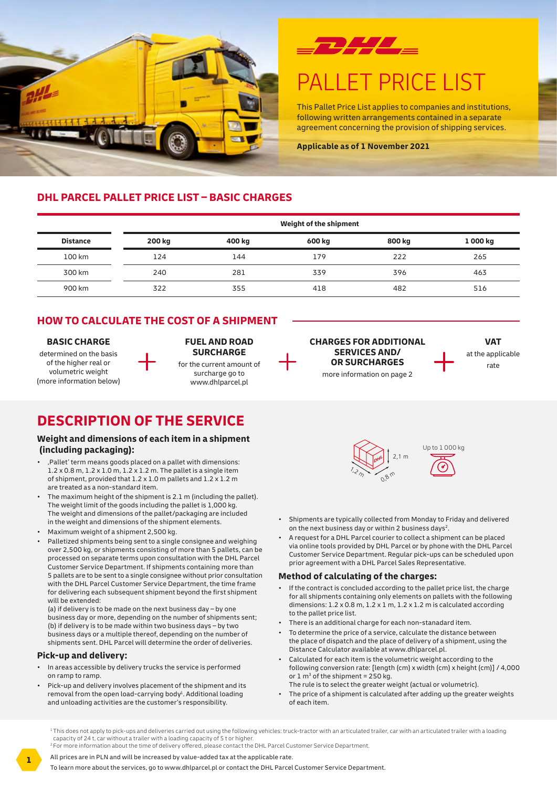



## PALLET PRICE LIST

This Pallet Price List applies to companies and institutions, following written arrangements contained in a separate agreement concerning the provision of shipping services.

**Applicable as of 1 November 2021**

#### **DHL PARCEL PALLET PRICE LIST – BASIC CHARGES**

|                 | Weight of the shipment |        |        |        |          |
|-----------------|------------------------|--------|--------|--------|----------|
| <b>Distance</b> | <b>200 kg</b>          | 400 kg | 600 kg | 800 kg | 1 000 kg |
| 100 km          | 124                    | 144    | 179    | 222    | 265      |
| 300 km          | 240                    | 281    | 339    | 396    | 463      |
| 900 km          | 322                    | 355    | 418    | 482    | 516      |

### **HOW TO CALCULATE THE COST OF A SHIPMENT**

#### **BASIC CHARGE**

determined on the basis of the higher real or volumetric weight (more information below)

#### **FUEL AND ROAD SURCHARGE** for the current amount of surcharge go to www.dhlparcel.pl



**VAT** at the applicable rate

## **DESCRIPTION OF THE SERVICE**

#### **Weight and dimensions of each item in a shipment (including packaging):**

- 'Pallet' term means goods placed on a pallet with dimensions:  $1.2 \times 0.8$  m,  $1.2 \times 1.0$  m,  $1.2 \times 1.2$  m. The pallet is a single item of shipment, provided that 1.2 x 1.0 m pallets and 1.2 x 1.2 m are treated as a non-standard item.
- The maximum height of the shipment is 2.1 m (including the pallet). The weight limit of the goods including the pallet is 1,000 kg. The weight and dimensions of the pallet/packaging are included in the weight and dimensions of the shipment elements.
- Maximum weight of a shipment 2,500 kg.
- Palletized shipments being sent to a single consignee and weighing over 2,500 kg, or shipments consisting of more than 5 pallets, can be processed on separate terms upon consultation with the DHL Parcel Customer Service Department. If shipments containing more than 5 pallets are to be sent to a single consignee without prior consultation with the DHL Parcel Customer Service Department, the time frame for delivering each subsequent shipment beyond the first shipment will be extended:

(a) if delivery is to be made on the next business day – by one business day or more, depending on the number of shipments sent; (b) if delivery is to be made within two business days – by two business days or a multiple thereof, depending on the number of shipments sent. DHL Parcel will determine the order of deliveries.

#### **Pick-up and delivery:**

- In areas accessible by delivery trucks the service is performed on ramp to ramp.
- Pick-up and delivery involves placement of the shipment and its removal from the open load-carrying body<sup>1</sup>. Additional loading and unloading activities are the customer's responsibility.



- Shipments are typically collected from Monday to Friday and delivered on the next business day or within 2 business days<sup>2</sup>.
- A request for a DHL Parcel courier to collect a shipment can be placed via online tools provided by DHL Parcel or by phone with the DHL Parcel Customer Service Department. Regular pick-ups can be scheduled upon prior agreement with a DHL Parcel Sales Representative.

#### **Method of calculating of the charges:**

- If the contract is concluded according to the pallet price list, the charge for all shipments containing only elements on pallets with the following dimensions:  $1.2 \times 0.8$  m,  $1.2 \times 1$  m,  $1.2 \times 1.2$  m is calculated according to the pallet price list.
- There is an additional charge for each non-stanadard item.
- To determine the price of a service, calculate the distance between the place of dispatch and the place of delivery of a shipment, using the Distance Calculator available at www.dhlparcel.pl.
- Calculated for each item is the volumetric weight according to the following conversion rate: [length (cm) x width (cm) x height (cm)] / 4,000 or  $1 \text{ m}^3$  of the shipment = 250 kg.
	- The rule is to select the greater weight (actual or volumetric).
- The price of a shipment is calculated after adding up the greater weights of each item.

<sup>1</sup> This does not apply to pick-ups and deliveries carried out using the following vehicles: truck-tractor with an articulated trailer, car with an articulated trailer with a loading capacity of 24 t, car without a trailer with a loading capacity of 5 t or higher.

<sup>2</sup>For more information about the time of delivery offered, please contact the DHL Parcel Customer Service Department.

All prices are in PLN and will be increased by value-added tax at the applicable rate.